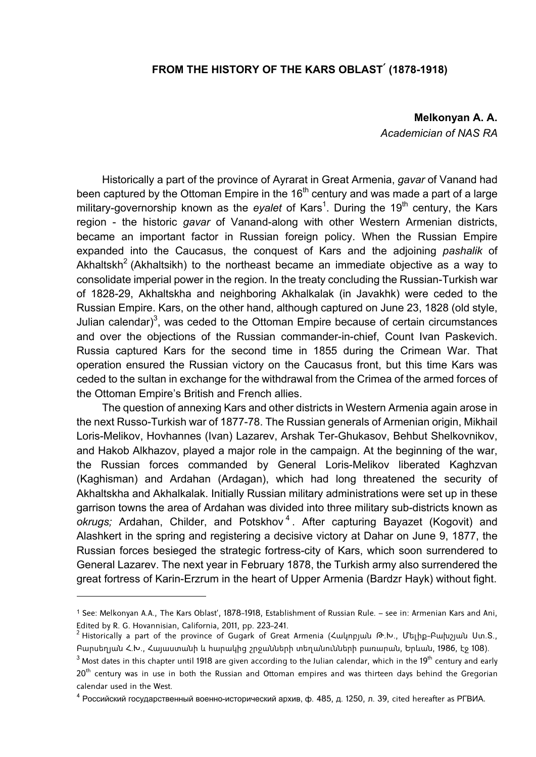## **FROM THE HISTORY OF THE KARS OBLAST**՛ **(1878-1918)**

**Melkonyan A. A.**  *Academician of NAS RA* 

Historically a part of the province of Ayrarat in Great Armenia, *gavar* of Vanand had been captured by the Ottoman Empire in the 16<sup>th</sup> century and was made a part of a large military-governorship known as the eyalet of Kars<sup>1</sup>. During the 19<sup>th</sup> century, the Kars region - the historic *gavar* of Vanand-along with other Western Armenian districts, became an important factor in Russian foreign policy. When the Russian Empire expanded into the Caucasus, the conquest of Kars and the adjoining *pashalik* of Akhaltskh<sup>2</sup> (Akhaltsikh) to the northeast became an immediate objective as a way to consolidate imperial power in the region. In the treaty concluding the Russian-Turkish war of 1828-29, Akhaltskha and neighboring Akhalkalak (in Javakhk) were ceded to the Russian Empire. Kars, on the other hand, although captured on June 23, 1828 (old style, Julian calendar)<sup>3</sup>, was ceded to the Ottoman Empire because of certain circumstances and over the objections of the Russian commander-in-chief, Count Ivan Paskevich. Russia captured Kars for the second time in 1855 during the Crimean War. That operation ensured the Russian victory on the Caucasus front, but this time Kars was ceded to the sultan in exchange for the withdrawal from the Crimea of the armed forces of the Ottoman Empire's British and French allies.

The question of annexing Kars and other districts in Western Armenia again arose in the next Russo-Turkish war of 1877-78. The Russian generals of Armenian origin, Mikhail Loris-Melikov, Hovhannes (Ivan) Lazarev, Arshak Ter-Ghukasov, Behbut Shelkovnikov, and Hakob Alkhazov, played a major role in the campaign. At the beginning of the war, the Russian forces commanded by General Loris-Melikov liberated Kaghzvan (Kaghisman) and Ardahan (Ardagan), which had long threatened the security of Akhaltskha and Akhalkalak. Initially Russian military administrations were set up in these garrison towns the area of Ardahan was divided into three military sub-districts known as *okrugs;* Ardahan, Childer, and Potskhov <sup>4</sup> . After capturing Bayazet (Kogovit) and Alashkert in the spring and registering a decisive victory at Dahar on June 9, 1877, the Russian forces besieged the strategic fortress-city of Kars, which soon surrendered to General Lazarev. The next year in February 1878, the Turkish army also surrendered the great fortress of Karin-Erzrum in the heart of Upper Armenia (Bardzr Hayk) without fight.

<sup>1</sup> See: Melkonyan A.A., The Kars Oblast', 1878-1918, Establishment of Russian Rule. – see in: Armenian Kars and Ani, Edited by R. G. Hovannisian, California, 2011, pp. 223-241.

<sup>&</sup>lt;sup>2</sup> Historically a part of the province of Gugark of Great Armenia (Հակոբյան Թ.Խ., Մելիք-Բախշյան Ստ.Տ., Բարսեղյան Հ.Խ., Հայաստանի և հարակից շրջանների տեղանունների բառարան, Երևան, 1986, էջ 108).

 $^3$  Most dates in this chapter until 1918 are given according to the Julian calendar, which in the 19 $^{\rm th}$  century and early  $20<sup>th</sup>$  century was in use in both the Russian and Ottoman empires and was thirteen days behind the Gregorian calendar used in the West.

 $^{4}$  Российский государственный военно-исторический архив, ф. 485, д. 1250, л. 39, cited hereafter as РГВИА.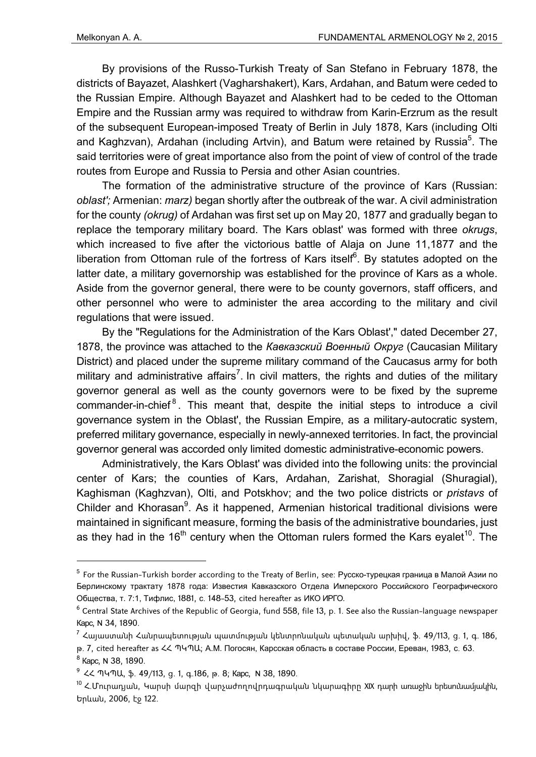By provisions of the Russo-Turkish Treaty of San Stefano in February 1878, the districts of Bayazet, Alashkert (Vagharshakert), Kars, Ardahan, and Batum were ceded to the Russian Empire. Although Bayazet and Alashkert had to be ceded to the Ottoman Empire and the Russian army was required to withdraw from Karin-Erzrum as the result of the subsequent European-imposed Treaty of Berlin in July 1878, Kars (including Olti and Kaghzvan), Ardahan (including Artvin), and Batum were retained by Russia<sup>5</sup>. The said territories were of great importance also from the point of view of control of the trade routes from Europe and Russia to Persia and other Asian countries.

The formation of the administrative structure of the province of Kars (Russian: *oblast';* Armenian: *marz)* began shortly after the outbreak of the war. A civil administration for the county *(okrug)* of Ardahan was first set up on May 20, 1877 and gradually began to replace the temporary military board. The Kars oblast' was formed with three *okrugs*, which increased to five after the victorious battle of Alaja on June 11,1877 and the liberation from Ottoman rule of the fortress of Kars itself<sup>6</sup>. By statutes adopted on the latter date, a military governorship was established for the province of Kars as a whole. Aside from the governor general, there were to be county governors, staff officers, and other personnel who were to administer the area according to the military and civil regulations that were issued.

By the "Regulations for the Administration of the Kars Oblast'," dated December 27, 1878, the province was attached to the *Кавказский Военный Округ* (Caucasian Military District) and placed under the supreme military command of the Caucasus army for both military and administrative affairs<sup>7</sup>. In civil matters, the rights and duties of the military governor general as well as the county governors were to be fixed by the supreme commander-in-chief<sup>8</sup>. This meant that, despite the initial steps to introduce a civil governance system in the Oblast', the Russian Empire, as a military-autocratic system, preferred military governance, especially in newly-annexed territories. In fact, the provincial governor general was accorded only limited domestic administrative-economic powers.

Administratively, the Kars Oblast' was divided into the following units: the provincial center of Kars; the counties of Kars, Ardahan, Zarishat, Shoragial (Shuragial), Kaghisman (Kaghzvan), Olti, and Potskhov; and the two police districts or *pristavs* of Childer and Khorasan<sup>9</sup>. As it happened, Armenian historical traditional divisions were maintained in significant measure, forming the basis of the administrative boundaries, just as they had in the 16<sup>th</sup> century when the Ottoman rulers formed the Kars eyalet<sup>10</sup>. The

<sup>&</sup>lt;sup>5</sup> For the Russian-Turkish border according to the Treaty of Berlin, see: Русско-турецкая граница в Малой Азии по Берлинскому трактату 1878 года: Известия Кавказского Отдела Имперского Российского Географического Общества, т. 7:1, Тифлис, 1881, с. 148-53, cited hereafter as ИКО ИРГО.

 $^6$  Central State Archives of the Republic of Georgia, fund 558, file 13, p. 1. See also the Russian-language newspaper Карс, N 34, 1890.

<sup>&</sup>lt;sup>7</sup> Հայաստանի Հանրապետության պատմության կենտրոնական պետական արխիվ, ֆ. 49/113, ց. 1, գ. 186, թ. 7, cited hereafter as ՀՀ ՊԿՊԱ; А.М. Погосян, Карсская область в составе России, Ереван, 1983, с. 63.

<sup>&</sup>lt;sup>8</sup> Карс, N 38, 1890.

<sup>9</sup> ՀՀ ՊԿՊԱ, ֆ. 49/113, ց. 1, գ.186, թ. 8; Карс, N 38, 1890.

<sup>10</sup> Հ.Մուրադյան, Կարսի մարզի վարչաժողովրդագրական նկարագիրը XIX դարի առաջին երեսունամյակին, Երևան, 2006, էջ 122.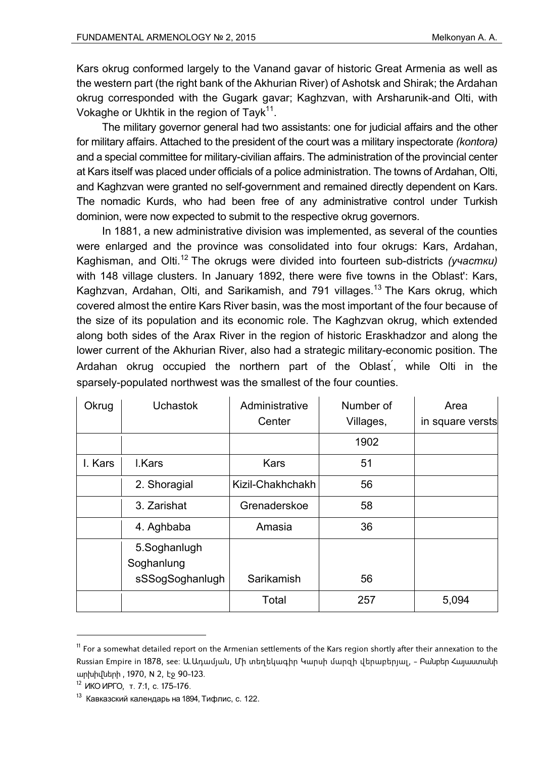Kars okrug conformed largely to the Vanand gavar of historic Great Armenia as well as the western part (the right bank of the Akhurian River) of Ashotsk and Shirak; the Ardahan okrug corresponded with the Gugark gavar; Kaghzvan, with Arsharunik-and Olti, with Vokaghe or Ukhtik in the region of Tayk<sup>11</sup>.

The military governor general had two assistants: one for judicial affairs and the other for military affairs. Attached to the president of the court was a military inspectorate *(kontora)* and a special committee for military-civilian affairs. The administration of the provincial center at Kars itself was placed under officials of a police administration. The towns of Ardahan, Olti, and Kaghzvan were granted no self-government and remained directly dependent on Kars. The nomadic Kurds, who had been free of any administrative control under Turkish dominion, were now expected to submit to the respective okrug governors.

In 1881, a new administrative division was implemented, as several of the counties were enlarged and the province was consolidated into four okrugs: Kars, Ardahan, Kaghisman, and Olti.12 The okrugs were divided into fourteen sub-districts *(участки)* with 148 village clusters. In January 1892, there were five towns in the Oblast': Kars, Kaghzvan, Ardahan, Olti, and Sarikamish, and 791 villages.<sup>13</sup> The Kars okrug, which covered almost the entire Kars River basin, was the most important of the four because of the size of its population and its economic role. The Kaghzvan okrug, which extended along both sides of the Arax River in the region of historic Eraskhadzor and along the lower current of the Akhurian River, also had a strategic military-economic position. The Ardahan okrug occupied the northern part of the Oblast՛, while Olti in the sparsely-populated northwest was the smallest of the four counties.

| Okrug   | <b>Uchastok</b> | Administrative   | Number of | Area             |
|---------|-----------------|------------------|-----------|------------------|
|         |                 | Center           | Villages, | in square versts |
|         |                 |                  | 1902      |                  |
| I. Kars | I.Kars          | <b>Kars</b>      | 51        |                  |
|         | 2. Shoragial    | Kizil-Chakhchakh | 56        |                  |
|         | 3. Zarishat     | Grenaderskoe     | 58        |                  |
|         | 4. Aghbaba      | Amasia           | 36        |                  |
|         | 5.Soghanlugh    |                  |           |                  |
|         | Soghanlung      |                  |           |                  |
|         | sSSogSoghanlugh | Sarikamish       | 56        |                  |
|         |                 | Total            | 257       | 5,094            |

 $11$  For a somewhat detailed report on the Armenian settlements of the Kars region shortly after their annexation to the Russian Empire in 1878, see: Ա.Ադամյան, Մի տեղեկագիր Կարսի մարզի վերաբերյալ, - Բանբեր Հայաստանի արխիվների , 1970, N 2, էջ 90-123.

<sup>12</sup> ИКО ИРГО, т. 7:1, с. 175-176.

 $13$  Кавказский календарь на 1894. Тифлис, с. 122.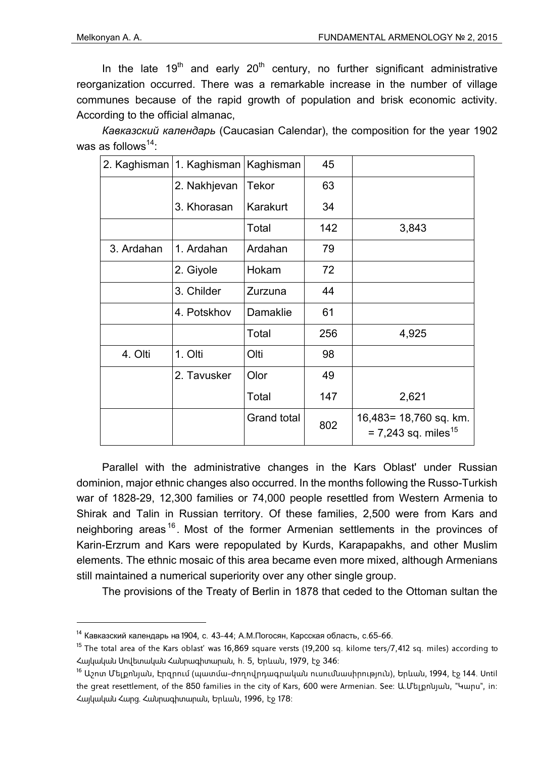-

In the late 19<sup>th</sup> and early 20<sup>th</sup> century, no further significant administrative reorganization occurred. There was a remarkable increase in the number of village communes because of the rapid growth of population and brisk economic activity. According to the official almanac,

*Кавказский календарь* (Caucasian Calendar), the composition for the year 1902 was as follows<sup>14</sup>:

|            | 2. Kaghisman   1. Kaghisman | Kaghisman   | 45  |                                                             |
|------------|-----------------------------|-------------|-----|-------------------------------------------------------------|
|            | 2. Nakhjevan                | Tekor       | 63  |                                                             |
|            | 3. Khorasan                 | Karakurt    | 34  |                                                             |
|            |                             | Total       | 142 | 3,843                                                       |
| 3. Ardahan | 1. Ardahan                  | Ardahan     | 79  |                                                             |
|            | 2. Giyole                   | Hokam       | 72  |                                                             |
|            | 3. Childer                  | Zurzuna     | 44  |                                                             |
|            | 4. Potskhov                 | Damaklie    | 61  |                                                             |
|            |                             | Total       | 256 | 4,925                                                       |
| 4. Olti    | 1. Olti                     | Olti        | 98  |                                                             |
|            | 2. Tavusker                 | Olor        | 49  |                                                             |
|            |                             | Total       | 147 | 2,621                                                       |
|            |                             | Grand total | 802 | 16,483= 18,760 sq. km.<br>$= 7,243$ sq. miles <sup>15</sup> |

Parallel with the administrative changes in the Kars Oblast' under Russian dominion, major ethnic changes also occurred. In the months following the Russo-Turkish war of 1828-29, 12,300 families or 74,000 people resettled from Western Armenia to Shirak and Talin in Russian territory. Of these families, 2,500 were from Kars and neighboring areas<sup>16</sup>. Most of the former Armenian settlements in the provinces of Karin-Erzrum and Kars were repopulated by Kurds, Karapapakhs, and other Muslim elements. The ethnic mosaic of this area became even more mixed, although Armenians still maintained a numerical superiority over any other single group.

The provisions of the Treaty of Berlin in 1878 that ceded to the Ottoman sultan the

<sup>14</sup> Кавказский календарь на 1904, с. 43-44; А.М.Погосян, Карсская область, с.65-66.

 $15$  The total area of the Kars oblast' was 16,869 square versts (19,200 sq. kilome ters/7,412 sq. miles) according to Հայկական Սովետական Հանրագիտարան, հ. 5, Երևան, 1979, էջ 346:

<sup>&</sup>lt;sup>16</sup> Աշոտ Մելքոնյան, Էրզրում (պատմա–ժողովրդագրական ուսումնասիրություն), Երևան, 1994, էջ 144. Until the great resettlement, of the 850 families in the city of Kars, 600 were Armenian. See: Ա.Մելքոնյան, "Կարս", in: Հայկական Հարց. Հանրագիտարան, Երևան, 1996, էջ 178: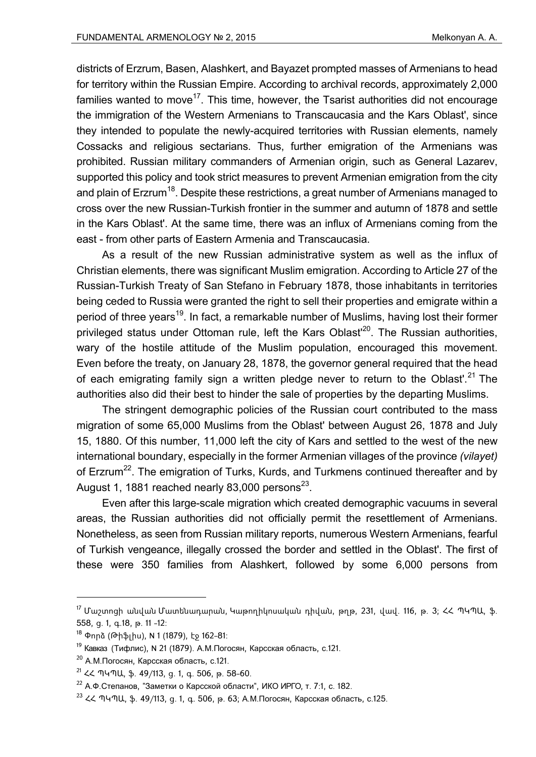districts of Erzrum, Basen, Alashkert, and Bayazet prompted masses of Armenians to head for territory within the Russian Empire. According to archival records, approximately 2,000 families wanted to move<sup>17</sup>. This time, however, the Tsarist authorities did not encourage the immigration of the Western Armenians to Transcaucasia and the Kars Oblast', since they intended to populate the newly-acquired territories with Russian elements, namely Cossacks and religious sectarians. Thus, further emigration of the Armenians was prohibited. Russian military commanders of Armenian origin, such as General Lazarev, supported this policy and took strict measures to prevent Armenian emigration from the city and plain of Erzrum<sup>18</sup>. Despite these restrictions, a great number of Armenians managed to cross over the new Russian-Turkish frontier in the summer and autumn of 1878 and settle in the Kars Oblast'. At the same time, there was an influx of Armenians coming from the east - from other parts of Eastern Armenia and Transcaucasia.

As a result of the new Russian administrative system as well as the influx of Christian elements, there was significant Muslim emigration. According to Article 27 of the Russian-Turkish Treaty of San Stefano in February 1878, those inhabitants in territories being ceded to Russia were granted the right to sell their properties and emigrate within a period of three years<sup>19</sup>. In fact, a remarkable number of Muslims, having lost their former privileged status under Ottoman rule, left the Kars Oblast<sup>20</sup>. The Russian authorities, wary of the hostile attitude of the Muslim population, encouraged this movement. Even before the treaty, on January 28, 1878, the governor general required that the head of each emigrating family sign a written pledge never to return to the Oblast'.<sup>21</sup> The authorities also did their best to hinder the sale of properties by the departing Muslims.

The stringent demographic policies of the Russian court contributed to the mass migration of some 65,000 Muslims from the Oblast' between August 26, 1878 and July 15, 1880. Of this number, 11,000 left the city of Kars and settled to the west of the new international boundary, especially in the former Armenian villages of the province *(vilayet)* of Erzrum<sup>22</sup>. The emigration of Turks, Kurds, and Turkmens continued thereafter and by August 1, 1881 reached nearly 83,000 persons $^{23}$ .

Even after this large-scale migration which created demographic vacuums in several areas, the Russian authorities did not officially permit the resettlement of Armenians. Nonetheless, as seen from Russian military reports, numerous Western Armenians, fearful of Turkish vengeance, illegally crossed the border and settled in the Oblast'. The first of these were 350 families from Alashkert, followed by some 6,000 persons from

<sup>17</sup> Մաշտոցի անվան Մատենադարան, Կաթողիկոսական դիվան, թղթ, 231, վավ. 116, թ. 3; ՀՀ ՊԿՊԱ, ֆ. 558, ց. 1, գ.18, թ. 11 -12:

<sup>18</sup> Փորձ (Թիֆլիս), N 1 (1879), էջ 162-81:

<sup>19</sup> Кавказ (Тифлис), N 21 (1879). А.М.Погосян, Карсская область, с.121.

 $20$  А.М.Погосян, Карсская область, с.121.

 $21$  << ՊԿՊԱ, \$. 49/113, g. 1, q. 506, p. 58-60.

<sup>&</sup>lt;sup>22</sup> А.Ф.Степанов, "Заметки о Карсской области", ИКО ИРГО, т. 7:1, с. 182.

 $23$  << ՊԿՊԱ, \$. 49/113, д. 1, д. 506, р. 63; А.М.Погосян, Карсская область, с.125.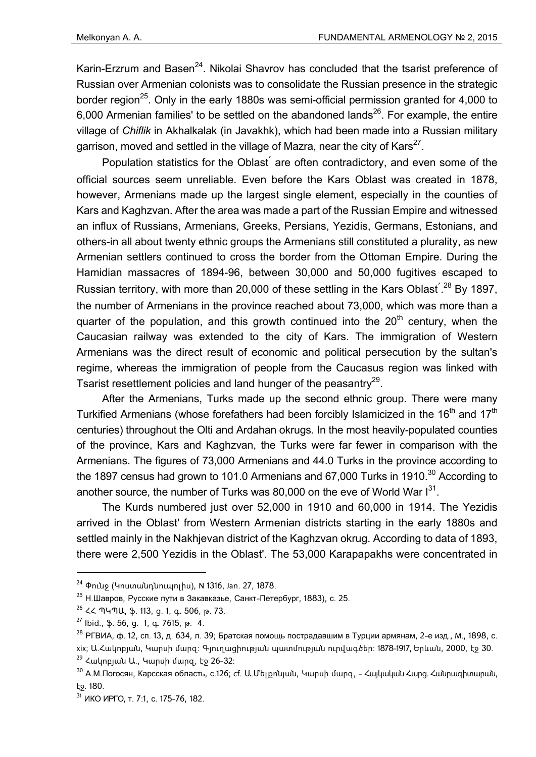Karin-Erzrum and Basen<sup>24</sup>. Nikolai Shavrov has concluded that the tsarist preference of Russian over Armenian colonists was to consolidate the Russian presence in the strategic border region<sup>25</sup>. Only in the early 1880s was semi-official permission granted for 4,000 to 6,000 Armenian families' to be settled on the abandoned lands<sup>26</sup>. For example, the entire village of *Chiflik* in Akhalkalak (in Javakhk), which had been made into a Russian military garrison, moved and settled in the village of Mazra, near the city of Kars<sup>27</sup>.

Population statistics for the Oblast՛ are often contradictory, and even some of the official sources seem unreliable. Even before the Kars Oblast was created in 1878, however, Armenians made up the largest single element, especially in the counties of Kars and Kaghzvan. After the area was made a part of the Russian Empire and witnessed an influx of Russians, Armenians, Greeks, Persians, Yezidis, Germans, Estonians, and others-in all about twenty ethnic groups the Armenians still constituted a plurality, as new Armenian settlers continued to cross the border from the Ottoman Empire. During the Hamidian massacres of 1894-96, between 30,000 and 50,000 fugitives escaped to Russian territory, with more than 20,000 of these settling in the Kars Oblast<sup>'28</sup> By 1897, the number of Armenians in the province reached about 73,000, which was more than a quarter of the population, and this growth continued into the  $20<sup>th</sup>$  century, when the Caucasian railway was extended to the city of Kars. The immigration of Western Armenians was the direct result of economic and political persecution by the sultan's regime, whereas the immigration of people from the Caucasus region was linked with Tsarist resettlement policies and land hunger of the peasantry<sup>29</sup>.

After the Armenians, Turks made up the second ethnic group. There were many Turkified Armenians (whose forefathers had been forcibly Islamicized in the 16<sup>th</sup> and 17<sup>th</sup> centuries) throughout the Olti and Ardahan okrugs. In the most heavily-populated counties of the province, Kars and Kaghzvan, the Turks were far fewer in comparison with the Armenians. The figures of 73,000 Armenians and 44.0 Turks in the province according to the 1897 census had grown to 101.0 Armenians and 67,000 Turks in 1910.<sup>30</sup> According to another source, the number of Turks was 80,000 on the eve of World War  $I^{31}$ .

The Kurds numbered just over 52,000 in 1910 and 60,000 in 1914. The Yezidis arrived in the Oblast' from Western Armenian districts starting in the early 1880s and settled mainly in the Nakhjevan district of the Kaghzvan okrug. According to data of 1893, there were 2,500 Yezidis in the Oblast'. The 53,000 Karapapakhs were concentrated in

 $24$  Φηιλι (Կոստանդնուպոլիս), N 1316, Jan. 27, 1878.

 $25$  Н.Шавров, Русские пути в Закавказье, Санкт-Петербург, 1883), с. 25.

 $26$  ረረ ՊԿՊԱ, ֆ. 113, g. 1, g. 506, թ. 73.

 $27$  Ibid., \$. 56, g. 1, g. 7615, p. 4.

<sup>&</sup>lt;sup>28</sup> РГВИА, ф. 12, сп. 13, д. 634, л. 39; Братская помощь пострадавшим в Турции армянам, 2-е изд., М., 1898, с. xix; Ա.Հակոբյան, Կարսի մարզ: Գյուղացիության պատմության ուրվագծեր: 1878-1917, Երևան, 2000, էջ 30.  $29$  Հակոբյան Ա., Կարսի մարզ, էջ 26-32:

<sup>&</sup>lt;sup>30</sup> А.М.Погосян, Карсская область, с.126; cf. Ա.Մելքոնյան, Կարսի մարզ, - Հայկական Հարց. Հանրագիտարան, էջ. 180.

<sup>31</sup> ИКО ИРГО, т. 7:1, с. 175-76, 182.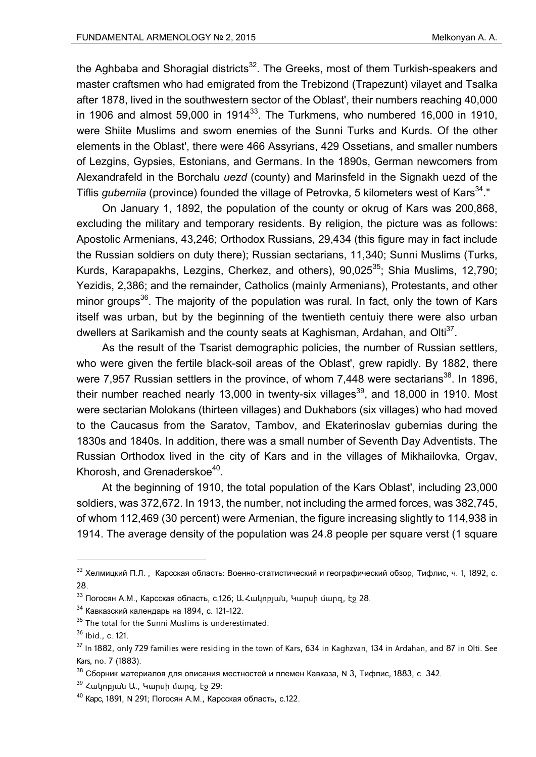the Aghbaba and Shoragial districts<sup>32</sup>. The Greeks, most of them Turkish-speakers and master craftsmen who had emigrated from the Trebizond (Trapezunt) vilayet and Tsalka after 1878, lived in the southwestern sector of the Oblast', their numbers reaching 40,000 in 1906 and almost 59,000 in 1914 $^{33}$ . The Turkmens, who numbered 16,000 in 1910, were Shiite Muslims and sworn enemies of the Sunni Turks and Kurds. Of the other elements in the Oblast', there were 466 Assyrians, 429 Ossetians, and smaller numbers of Lezgins, Gypsies, Estonians, and Germans. In the 1890s, German newcomers from Alexandrafeld in the Borchalu *uezd* (county) and Marinsfeld in the Signakh uezd of the Tiflis *guberniia* (province) founded the village of Petrovka, 5 kilometers west of Kars<sup>34</sup>."

On January 1, 1892, the population of the county or okrug of Kars was 200,868, excluding the military and temporary residents. By religion, the picture was as follows: Apostolic Armenians, 43,246; Orthodox Russians, 29,434 (this figure may in fact include the Russian soldiers on duty there); Russian sectarians, 11,340; Sunni Muslims (Turks, Kurds, Karapapakhs, Lezgins, Cherkez, and others), 90,025<sup>35</sup>; Shia Muslims, 12,790; Yezidis, 2,386; and the remainder, Catholics (mainly Armenians), Protestants, and other minor groups<sup>36</sup>. The majority of the population was rural. In fact, only the town of Kars itself was urban, but by the beginning of the twentieth centuiy there were also urban dwellers at Sarikamish and the county seats at Kaghisman, Ardahan, and Olti<sup>37</sup>.

As the result of the Tsarist demographic policies, the number of Russian settlers, who were given the fertile black-soil areas of the Oblast', grew rapidly. By 1882, there were 7,957 Russian settlers in the province, of whom 7,448 were sectarians<sup>38</sup>. In 1896, their number reached nearly 13,000 in twenty-six villages<sup>39</sup>, and 18,000 in 1910. Most were sectarian Molokans (thirteen villages) and Dukhabors (six villages) who had moved to the Caucasus from the Saratov, Tambov, and Ekaterinoslav gubernias during the 1830s and 1840s. In addition, there was a small number of Seventh Day Adventists. The Russian Orthodox lived in the city of Kars and in the villages of Mikhailovka, Orgav, Khorosh, and Grenaderskoe<sup>40</sup>.

At the beginning of 1910, the total population of the Kars Oblast', including 23,000 soldiers, was 372,672. In 1913, the number, not including the armed forces, was 382,745, of whom 112,469 (30 percent) were Armenian, the figure increasing slightly to 114,938 in 1914. The average density of the population was 24.8 people per square verst (1 square

 $34$  Кавказский календарь на 1894, с. 121-122.

 $32$  Хелмицкий П.Л., Карсская область: Военно-статистический и географический обзор, Тифлис, ч. 1, 1892, с. 28.

 $33$  Погосян А.М., Карсская область, с.126; Ա. Հակոբյան, Կարսի մարզ, էջ 28.

<sup>&</sup>lt;sup>35</sup> The total for the Sunni Muslims is underestimated.

 $36$  Ibid., c. 121.

 $37$  In 1882, only 729 families were residing in the town of Kars, 634 in Kaghzvan, 134 in Ardahan, and 87 in Olti. See Kars, no. 7 (1883).

 $38$  Сборник материалов для описания местностей и племен Кавказа, N 3, Тифлис, 1883, с. 342.

 $39$  Հակոբյան Ա., Կարսի մարզ, էջ 29:

<sup>40</sup> Карс, 1891, N 291; Погосян А.М., Карсская область, с.122.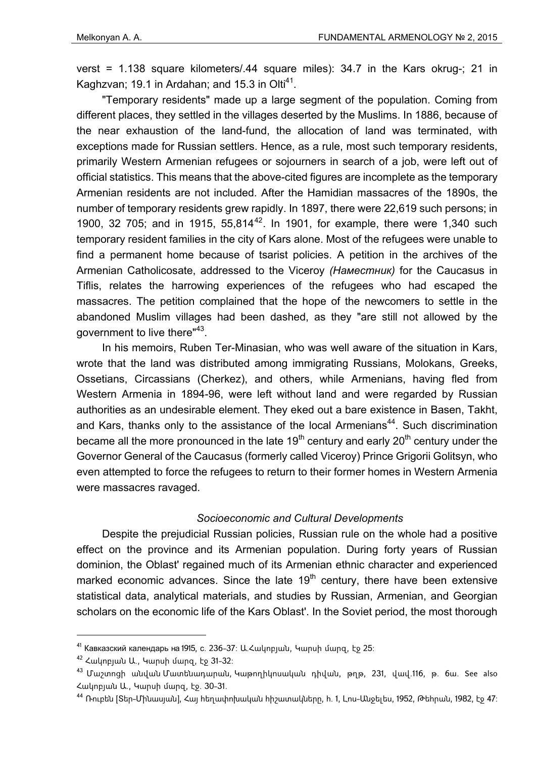verst = 1.138 square kilometers/.44 square miles): 34.7 in the Kars okrug-; 21 in Kaghzvan; 19.1 in Ardahan; and 15.3 in Olti $^{41}$ .

"Temporary residents" made up a large segment of the population. Coming from different places, they settled in the villages deserted by the Muslims. In 1886, because of the near exhaustion of the land-fund, the allocation of land was terminated, with exceptions made for Russian settlers. Hence, as a rule, most such temporary residents, primarily Western Armenian refugees or sojourners in search of a job, were left out of official statistics. This means that the above-cited figures are incomplete as the temporary Armenian residents are not included. After the Hamidian massacres of the 1890s, the number of temporary residents grew rapidly. In 1897, there were 22,619 such persons; in 1900, 32 705; and in 1915,  $55,814^{42}$ . In 1901, for example, there were 1,340 such temporary resident families in the city of Kars alone. Most of the refugees were unable to find a permanent home because of tsarist policies. A petition in the archives of the Armenian Catholicosate, addressed to the Viceroy *(Наместник)* for the Caucasus in Tiflis, relates the harrowing experiences of the refugees who had escaped the massacres. The petition complained that the hope of the newcomers to settle in the abandoned Muslim villages had been dashed, as they "are still not allowed by the government to live there"43.

In his memoirs, Ruben Ter-Minasian, who was well aware of the situation in Kars, wrote that the land was distributed among immigrating Russians, Molokans, Greeks, Ossetians, Circassians (Cherkez), and others, while Armenians, having fled from Western Armenia in 1894-96, were left without land and were regarded by Russian authorities as an undesirable element. They eked out a bare existence in Basen, Takht, and Kars, thanks only to the assistance of the local Armenians<sup>44</sup>. Such discrimination became all the more pronounced in the late  $19<sup>th</sup>$  century and early  $20<sup>th</sup>$  century under the Governor General of the Caucasus (formerly called Viceroy) Prince Grigorii Golitsyn, who even attempted to force the refugees to return to their former homes in Western Armenia were massacres ravaged.

## *Socioeconomic and Cultural Developments*

Despite the prejudicial Russian policies, Russian rule on the whole had a positive effect on the province and its Armenian population. During forty years of Russian dominion, the Oblast' regained much of its Armenian ethnic character and experienced marked economic advances. Since the late  $19<sup>th</sup>$  century, there have been extensive statistical data, analytical materials, and studies by Russian, Armenian, and Georgian scholars on the economic life of the Kars Oblast'. In the Soviet period, the most thorough

<sup>&</sup>lt;sup>41</sup> Кавказский календарь на 1915, с. 236-37; Ա. Հակոբյան, Կարսի մարզ, էջ 25;

 $42$  Հակոբյան Ա., Կարսի մարզ, էջ 31-32։

<sup>43</sup> Մաշտոցի անվան Մատենադարան, Կաթողիկոսական դիվան, թղթ, 231, վավ.116, թ. 6ա. See also Հակոբյան Ա., Կարսի մարզ, էջ. 30-31.

 $^{44}$  Ռուբեն [Տեր-Մինասյան], Հայ հեղափոխական հիշատակները, հ. 1, Լոս-Անջելես, 1952, Թեհրան, 1982, էջ 47։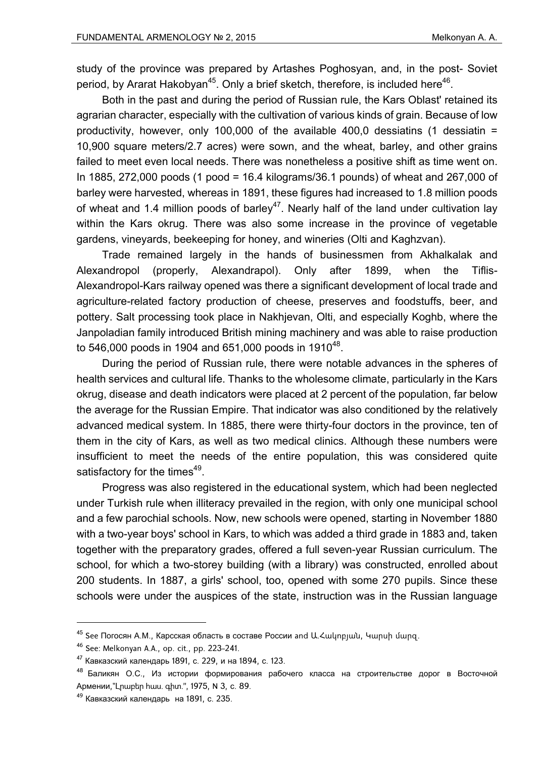study of the province was prepared by Artashes Poghosyan, and, in the post- Soviet period, by Ararat Hakobyan<sup>45</sup>. Only a brief sketch, therefore, is included here<sup>46</sup>.

Both in the past and during the period of Russian rule, the Kars Oblast' retained its agrarian character, especially with the cultivation of various kinds of grain. Because of low productivity, however, only 100,000 of the available 400,0 dessiatins (1 dessiatin = 10,900 square meters/2.7 acres) were sown, and the wheat, barley, and other grains failed to meet even local needs. There was nonetheless a positive shift as time went on. In 1885, 272,000 poods (1 pood = 16.4 kilograms/36.1 pounds) of wheat and 267,000 of barley were harvested, whereas in 1891, these figures had increased to 1.8 million poods of wheat and 1.4 million poods of barley<sup>47</sup>. Nearly half of the land under cultivation lay within the Kars okrug. There was also some increase in the province of vegetable gardens, vineyards, beekeeping for honey, and wineries (Olti and Kaghzvan).

Trade remained largely in the hands of businessmen from Akhalkalak and Alexandropol (properly, Alexandrapol). Only after 1899, when the Tiflis-Alexandropol-Kars railway opened was there a significant development of local trade and agriculture-related factory production of cheese, preserves and foodstuffs, beer, and pottery. Salt processing took place in Nakhjevan, Olti, and especially Koghb, where the Janpoladian family introduced British mining machinery and was able to raise production to 546,000 poods in 1904 and 651,000 poods in 1910<sup>48</sup>.

During the period of Russian rule, there were notable advances in the spheres of health services and cultural life. Thanks to the wholesome climate, particularly in the Kars okrug, disease and death indicators were placed at 2 percent of the population, far below the average for the Russian Empire. That indicator was also conditioned by the relatively advanced medical system. In 1885, there were thirty-four doctors in the province, ten of them in the city of Kars, as well as two medical clinics. Although these numbers were insufficient to meet the needs of the entire population, this was considered quite satisfactory for the times<sup>49</sup>.

Progress was also registered in the educational system, which had been neglected under Turkish rule when illiteracy prevailed in the region, with only one municipal school and a few parochial schools. Now, new schools were opened, starting in November 1880 with a two-year boys' school in Kars, to which was added a third grade in 1883 and, taken together with the preparatory grades, offered a full seven-year Russian curriculum. The school, for which a two-storey building (with a library) was constructed, enrolled about 200 students. In 1887, a girls' school, too, opened with some 270 pupils. Since these schools were under the auspices of the state, instruction was in the Russian language

<sup>45</sup> See Погосян А.М., Карсская область в составе России and Ա.Հակոբյան, Կարսի մարզ.

<sup>46</sup> See: Melkonyan A.A., op. cit., pp. 223-241.

<sup>47</sup> Кавказский календарь 1891, с. 229, и на 1894, с. 123.

<sup>48</sup> Баликян О.С., Из истории формирования рабочего класса на строительстве дорог в Восточной Армении,"Լրաբեր հաս. գիտ.", 1975, N 3, с. 89.

<sup>49</sup> Кавказский календарь на 1891, с. 235.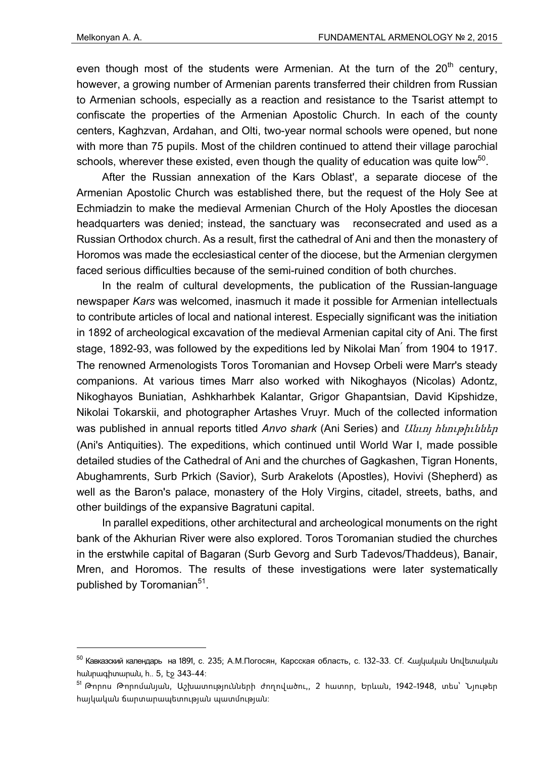-

even though most of the students were Armenian. At the turn of the  $20<sup>th</sup>$  century. however, a growing number of Armenian parents transferred their children from Russian to Armenian schools, especially as a reaction and resistance to the Tsarist attempt to confiscate the properties of the Armenian Apostolic Church. In each of the county centers, Kaghzvan, Ardahan, and Olti, two-year normal schools were opened, but none with more than 75 pupils. Most of the children continued to attend their village parochial schools, wherever these existed, even though the quality of education was quite low<sup>50</sup>.

After the Russian annexation of the Kars Oblast', a separate diocese of the Armenian Apostolic Church was established there, but the request of the Holy See at Echmiadzin to make the medieval Armenian Church of the Holy Apostles the diocesan headquarters was denied; instead, the sanctuary was reconsecrated and used as a Russian Orthodox church. As a result, first the cathedral of Ani and then the monastery of Horomos was made the ecclesiastical center of the diocese, but the Armenian clergymen faced serious difficulties because of the semi-ruined condition of both churches.

In the realm of cultural developments, the publication of the Russian-language newspaper *Kars* was welcomed, inasmuch it made it possible for Armenian intellectuals to contribute articles of local and national interest. Especially significant was the initiation in 1892 of archeological excavation of the medieval Armenian capital city of Ani. The first stage, 1892-93, was followed by the expeditions led by Nikolai Man՛ from 1904 to 1917. The renowned Armenologists Toros Toromanian and Hovsep Orbeli were Marr's steady companions. At various times Marr also worked with Nikoghayos (Nicolas) Adontz, Nikoghayos Buniatian, Ashkharhbek Kalantar, Grigor Ghapantsian, David Kipshidze, Nikolai Tokarskii, and photographer Artashes Vruyr. Much of the collected information was published in annual reports titled *Anvo shark* (Ani Series) and Անւոյ հնութիւններ (Ani's Antiquities). The expeditions, which continued until World War I, made possible detailed studies of the Cathedral of Ani and the churches of Gagkashen, Tigran Honents, Abughamrents, Surb Prkich (Savior), Surb Arakelots (Apostles), Hovivi (Shepherd) as well as the Baron's palace, monastery of the Holy Virgins, citadel, streets, baths, and other buildings of the expansive Bagratuni capital.

In parallel expeditions, other architectural and archeological monuments on the right bank of the Akhurian River were also explored. Toros Toromanian studied the churches in the erstwhile capital of Bagaran (Surb Gevorg and Surb Tadevos/Thaddeus), Banair, Mren, and Horomos. The results of these investigations were later systematically published by Toromanian<sup>51</sup>.

<sup>50</sup> Кавказский календарь на 1891, с. 235; А.М.Погосян, Карсская область, с. 132-33. Cf. Հայկական Սովետական հանրագիտարան, հ.. 5, էջ 343-44:

 $^{51}$  Թորոս Թորոմանյան, Աշխատությունների ժողովածու,, 2 հատոր, Երևան, 1942-1948, տես՝ Նյութեր հայկական ճարտարապետության պատմության: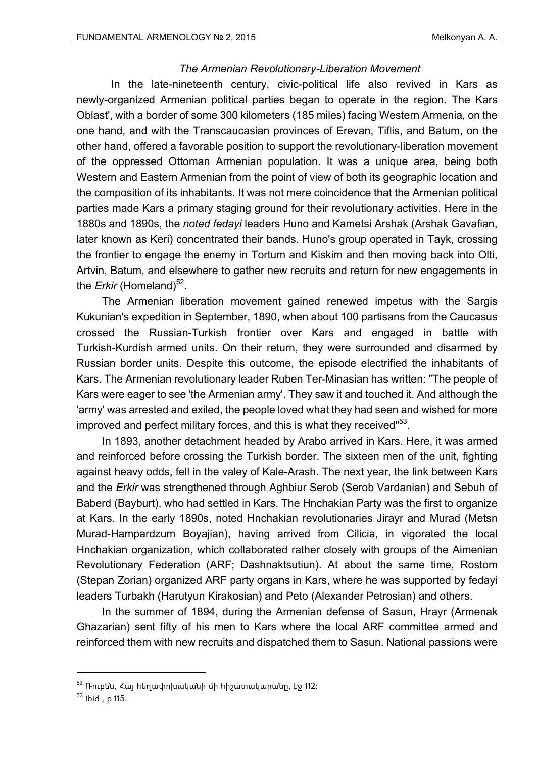## *The Armenian Revolutionary-Liberation Movement*

 In the late-nineteenth century, civic-political life also revived in Kars as newly-organized Armenian political parties began to operate in the region. The Kars Oblast', with a border of some 300 kilometers (185 miles) facing Western Armenia, on the one hand, and with the Transcaucasian provinces of Erevan, Tiflis, and Batum, on the other hand, offered a favorable position to support the revolutionary-liberation movement of the oppressed Ottoman Armenian population. It was a unique area, being both Western and Eastern Armenian from the point of view of both its geographic location and the composition of its inhabitants. It was not mere coincidence that the Armenian political parties made Kars a primary staging ground for their revolutionary activities. Here in the 1880s and 1890s, the *noted fedayi* leaders Huno and Kametsi Arshak (Arshak Gavafian, later known as Keri) concentrated their bands. Huno's group operated in Tayk, crossing the frontier to engage the enemy in Tortum and Kiskim and then moving back into Olti, Artvin, Batum, and elsewhere to gather new recruits and return for new engagements in the *Erkir* (Homeland)<sup>52</sup>.

The Armenian liberation movement gained renewed impetus with the Sargis Kukunian's expedition in September, 1890, when about 100 partisans from the Caucasus crossed the Russian-Turkish frontier over Kars and engaged in battle with Turkish-Kurdish armed units. On their return, they were surrounded and disarmed by Russian border units. Despite this outcome, the episode electrified the inhabitants of Kars. The Armenian revolutionary leader Ruben Ter-Minasian has written: "The people of Kars were eager to see 'the Armenian army'. They saw it and touched it. And although the 'army' was arrested and exiled, the people loved what they had seen and wished for more improved and perfect military forces, and this is what they received"<sup>53</sup>.

In 1893, another detachment headed by Arabo arrived in Kars. Here, it was armed and reinforced before crossing the Turkish border. The sixteen men of the unit, fighting against heavy odds, fell in the valey of Kale-Arash. The next year, the link between Kars and the *Erkir* was strengthened through Aghbiur Serob (Serob Vardanian) and Sebuh of Baberd (Bayburt), who had settled in Kars. The Hnchakian Party was the first to organize at Kars. In the early 1890s, noted Hnchakian revolutionaries Jirayr and Murad (Metsn Murad-Hampardzum Boyajian), having arrived from Cilicia, in vigorated the local Hnchakian organization, which collaborated rather closely with groups of the Aimenian Revolutionary Federation (ARF; Dashnaktsutiun). At about the same time, Rostom (Stepan Zorian) organized ARF party organs in Kars, where he was supported by fedayi leaders Turbakh (Harutyun Kirakosian) and Peto (Alexander Petrosian) and others.

In the summer of 1894, during the Armenian defense of Sasun, Hrayr (Armenak Ghazarian) sent fifty of his men to Kars where the local ARF committee armed and reinforced them with new recruits and dispatched them to Sasun. National passions were

 $52$  Ռուբեն, Հայ հեղափոխականի մի հիշատակարանը, էջ 112։

<sup>53</sup> Ibid., p.115.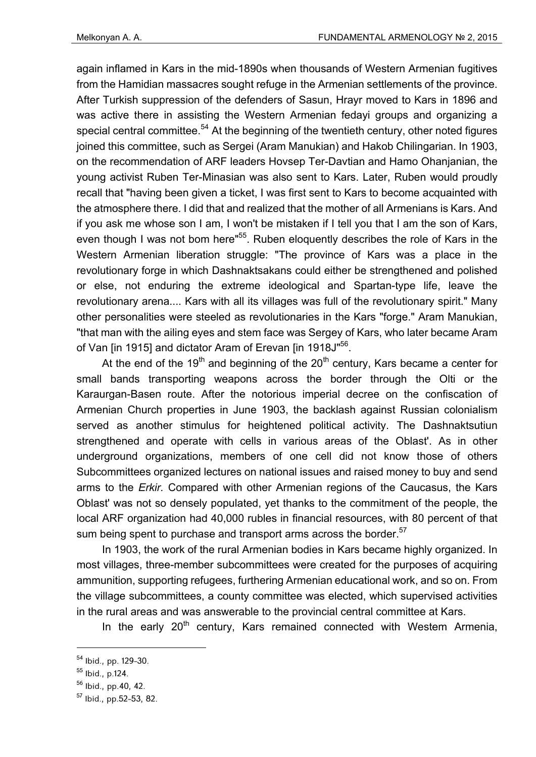again inflamed in Kars in the mid-1890s when thousands of Western Armenian fugitives from the Hamidian massacres sought refuge in the Armenian settlements of the province. After Turkish suppression of the defenders of Sasun, Hrayr moved to Kars in 1896 and was active there in assisting the Western Armenian fedayi groups and organizing a special central committee.<sup>54</sup> At the beginning of the twentieth century, other noted figures joined this committee, such as Sergei (Aram Manukian) and Hakob Chilingarian. In 1903, on the recommendation of ARF leaders Hovsep Ter-Davtian and Hamo Ohanjanian, the young activist Ruben Ter-Minasian was also sent to Kars. Later, Ruben would proudly recall that "having been given a ticket, I was first sent to Kars to become acquainted with the atmosphere there. I did that and realized that the mother of all Armenians is Kars. And if you ask me whose son I am, I won't be mistaken if I tell you that I am the son of Kars, even though I was not bom here"<sup>55</sup>. Ruben eloquently describes the role of Kars in the Western Armenian liberation struggle: "The province of Kars was a place in the revolutionary forge in which Dashnaktsakans could either be strengthened and polished or else, not enduring the extreme ideological and Spartan-type life, leave the revolutionary arena.... Kars with all its villages was full of the revolutionary spirit." Many other personalities were steeled as revolutionaries in the Kars "forge." Aram Manukian, "that man with the ailing eyes and stem face was Sergey of Kars, who later became Aram of Van [in 1915] and dictator Aram of Erevan [in 1918J"<sup>56</sup>.

At the end of the 19<sup>th</sup> and beginning of the  $20<sup>th</sup>$  century, Kars became a center for small bands transporting weapons across the border through the Olti or the Karaurgan-Basen route. After the notorious imperial decree on the confiscation of Armenian Church properties in June 1903, the backlash against Russian colonialism served as another stimulus for heightened political activity. The Dashnaktsutiun strengthened and operate with cells in various areas of the Oblast'. As in other underground organizations, members of one cell did not know those of others Subcommittees organized lectures on national issues and raised money to buy and send arms to the *Erkir.* Compared with other Armenian regions of the Caucasus, the Kars Oblast' was not so densely populated, yet thanks to the commitment of the people, the local ARF organization had 40,000 rubles in financial resources, with 80 percent of that sum being spent to purchase and transport arms across the border.<sup>57</sup>

In 1903, the work of the rural Armenian bodies in Kars became highly organized. In most villages, three-member subcommittees were created for the purposes of acquiring ammunition, supporting refugees, furthering Armenian educational work, and so on. From the village subcommittees, a county committee was elected, which supervised activities in the rural areas and was answerable to the provincial central committee at Kars.

In the early  $20<sup>th</sup>$  century, Kars remained connected with Westem Armenia,

<sup>54</sup> Ibid., pp. 129-30.

<sup>55</sup> Ibid., p.124.

<sup>56</sup> Ibid., pp.40, 42.

<sup>57</sup> Ibid., pp.52-53, 82.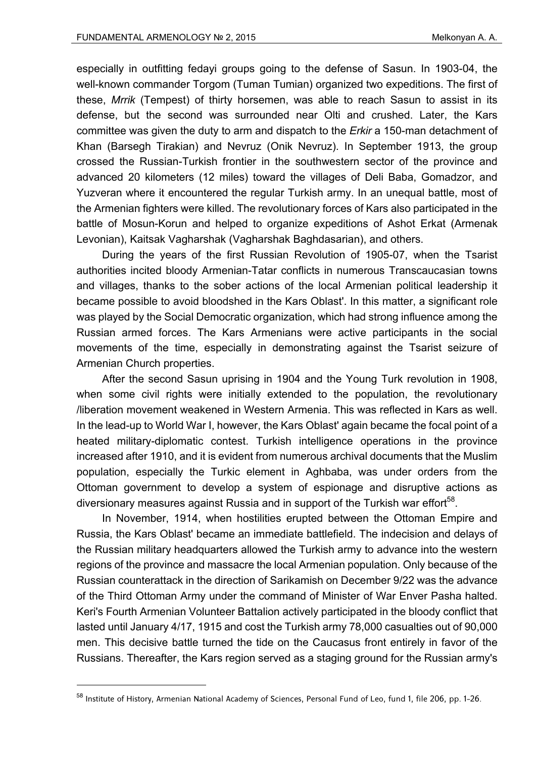especially in outfitting fedayi groups going to the defense of Sasun. In 1903-04, the well-known commander Torgom (Tuman Tumian) organized two expeditions. The first of these, *Mrrik* (Tempest) of thirty horsemen, was able to reach Sasun to assist in its defense, but the second was surrounded near Olti and crushed. Later, the Kars committee was given the duty to arm and dispatch to the *Erkir* a 150-man detachment of Khan (Barsegh Tirakian) and Nevruz (Onik Nevruz). In September 1913, the group crossed the Russian-Turkish frontier in the southwestern sector of the province and advanced 20 kilometers (12 miles) toward the villages of Deli Baba, Gomadzor, and Yuzveran where it encountered the regular Turkish army. In an unequal battle, most of the Armenian fighters were killed. The revolutionary forces of Kars also participated in the battle of Mosun-Korun and helped to organize expeditions of Ashot Erkat (Armenak Levonian), Kaitsak Vagharshak (Vagharshak Baghdasarian), and others.

During the years of the first Russian Revolution of 1905-07, when the Tsarist authorities incited bloody Armenian-Tatar conflicts in numerous Transcaucasian towns and villages, thanks to the sober actions of the local Armenian political leadership it became possible to avoid bloodshed in the Kars Oblast'. In this matter, a significant role was played by the Social Democratic organization, which had strong influence among the Russian armed forces. The Kars Armenians were active participants in the social movements of the time, especially in demonstrating against the Tsarist seizure of Armenian Church properties.

After the second Sasun uprising in 1904 and the Young Turk revolution in 1908, when some civil rights were initially extended to the population, the revolutionary /liberation movement weakened in Western Armenia. This was reflected in Kars as well. In the lead-up to World War I, however, the Kars Oblast' again became the focal point of a heated military-diplomatic contest. Turkish intelligence operations in the province increased after 1910, and it is evident from numerous archival documents that the Muslim population, especially the Turkic element in Aghbaba, was under orders from the Ottoman government to develop a system of espionage and disruptive actions as diversionary measures against Russia and in support of the Turkish war effort<sup>58</sup>.

In November, 1914, when hostilities erupted between the Ottoman Empire and Russia, the Kars Oblast' became an immediate battlefield. The indecision and delays of the Russian military headquarters allowed the Turkish army to advance into the western regions of the province and massacre the local Armenian population. Only because of the Russian counterattack in the direction of Sarikamish on December 9/22 was the advance of the Third Ottoman Army under the command of Minister of War Enver Pasha halted. Keri's Fourth Armenian Volunteer Battalion actively participated in the bloody conflict that lasted until January 4/17, 1915 and cost the Turkish army 78,000 casualties out of 90,000 men. This decisive battle turned the tide on the Caucasus front entirely in favor of the Russians. Thereafter, the Kars region served as a staging ground for the Russian army's

<sup>58</sup> Institute of History, Armenian National Academy of Sciences, Personal Fund of Leo, fund 1, file 206, pp. 1-26.